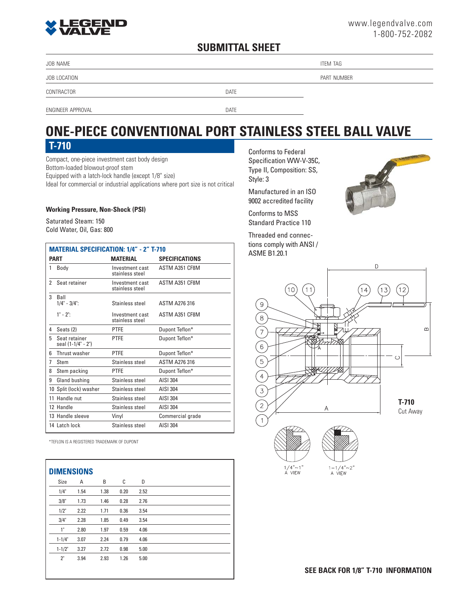# **EGEND**

#### **SUBMITTAL SHEET**

JOB NAME THE STATE IS A 1990 FOR THE STATE OF THE STATE IS A 1990 FOR THE STATE OF THE STATE ITEM TAG

JOB LOCATION PART NUMBER

CONTRACTOR DATE

ENGINEER APPROVAL DATE

## **ONE-PIECE CONVENTIONAL PORT STAINLESS STEEL BALL VALVE**

Compact, one-piece investment cast body design Bottom-loaded blowout-proof stem Equipped with a latch-lock handle (except 1/8" size) Ideal for commercial or industrial applications where port size is not critical

#### **Working Pressure, Non-Shock (PSI)**

Saturated Steam: 150 Cold Water, Oil, Gas: 800

| <b>MATERIAL SPECIFICATION: 1/4" - 2" T-710</b> |                                     |                                    |                       |  |  |  |
|------------------------------------------------|-------------------------------------|------------------------------------|-----------------------|--|--|--|
|                                                | <b>PART</b>                         | <b>MATERIAL</b>                    | <b>SPECIFICATIONS</b> |  |  |  |
| 1                                              | Body                                | Investment cast<br>stainless steel | ASTM A351 CF8M        |  |  |  |
| 2                                              | Seat retainer                       | Investment cast<br>stainless steel | ASTM A351 CF8M        |  |  |  |
| 3                                              | Ball<br>$1/4$ " - $3/4$ ":          | Stainless steel                    | <b>ASTM A276316</b>   |  |  |  |
|                                                | $1" - 2"$ :                         | Investment cast<br>stainless steel | ASTM A351 CF8M        |  |  |  |
| 4                                              | Seats (2)                           | <b>PTFE</b>                        | Dupont Teflon*        |  |  |  |
| 5                                              | Seat retainer<br>seal (1-1/4" - 2") | <b>PTFF</b>                        | Dupont Teflon*        |  |  |  |
| 6                                              | Thrust washer                       | <b>PTFE</b>                        | Dupont Teflon*        |  |  |  |
| 7                                              | Stem                                | Stainless steel                    | <b>ASTM A276 316</b>  |  |  |  |
| 8                                              | Stem packing                        | <b>PTFE</b>                        | Dupont Teflon*        |  |  |  |
| 9                                              | Gland bushing                       | Stainless steel                    | AISI 304              |  |  |  |
|                                                | 10 Split (lock) washer              | Stainless steel                    | AISI 304              |  |  |  |
|                                                | 11 Handle nut                       | Stainless steel                    | AISI 304              |  |  |  |
|                                                | 12 Handle                           | Stainless steel                    | AISI 304              |  |  |  |
|                                                | 13 Handle sleeve                    | Vinyl                              | Commercial grade      |  |  |  |
|                                                | 14 Latch lock                       | Stainless steel                    | AISI 304              |  |  |  |

\*TEFLON IS A REGISTERED TRADEMARK OF DUPONT

| <b>DIMENSIONS</b> |      |      |      |      |
|-------------------|------|------|------|------|
| Size              | Α    | B    | C    | D    |
| 1/4"              | 1.54 | 1.38 | 0.20 | 2.52 |
| 3/8"              | 1.73 | 1.46 | 0.28 | 2.76 |
| 1/2"              | 2.22 | 1.71 | 0.36 | 3.54 |
| 3/4"              | 2.28 | 1.85 | 0.49 | 3.54 |
| 1"                | 2.80 | 1.97 | 0.59 | 4.06 |
| $1 - 1/4"$        | 3.07 | 2.24 | 0.79 | 4.06 |
| $1 - 1/2"$        | 3.27 | 2.72 | 0.98 | 5.00 |
| 2"                | 3.94 | 2.93 | 1.26 | 5.00 |
|                   |      |      |      |      |

**T-710** Conforms to Federal Specification WW-V-35C, Type II, Composition: SS, Style: 3

> Manufactured in an ISO 9002 accredited facility

Conforms to MSS Standard Practice 110

Threaded end connections comply with ANSI / ASME B1.20.1





**SEE BACK FOR 1/8" T-710 INFORMATION**